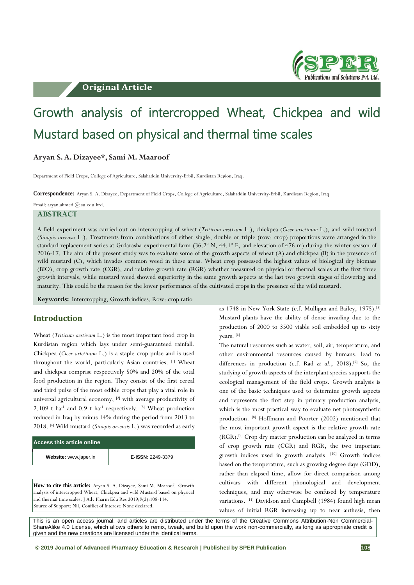# **Original Article**



# Growth analysis of intercropped Wheat, Chickpea and wild Mustard based on physical and thermal time scales

## **Aryan S. A. Dizayee\*, Sami M. Maaroof**

Department of Field Crops, College of Agriculture, Salahaddin University-Erbil, Kurdistan Region, Iraq.

**Correspondence:** Aryan S. A. Dizayee, Department of Field Crops, College of Agriculture, Salahaddin University-Erbil, Kurdistan Region, Iraq.

### Email: aryan.ahmed @ su.edu.krd. **ABSTRACT**

A field experiment was carried out on intercropping of wheat (*Triticum aestivum* L.), chickpea (*Cicer arietinum* L.), and wild mustard (*Sinapis arvensis* L.). Treatments from combinations of either single, double or triple (row: crop) proportions were arranged in the standard replacement series at Grdarasha experimental farm (36.2º N, 44.1º E, and elevation of 476 m) during the winter season of 2016-17. The aim of the present study was to evaluate some of the growth aspects of wheat (A) and chickpea (B) in the presence of wild mustard (C), which invades common weed in these areas. Wheat crop possessed the highest values of biological dry biomass (BIO), crop growth rate (CGR), and relative growth rate (RGR) whether measured on physical or thermal scales at the first three growth intervals, while mustard weed showed superiority in the same growth aspects at the last two growth stages of flowering and maturity. This could be the reason for the lower performance of the cultivated crops in the presence of the wild mustard.

**Keywords:** Intercropping, Growth indices, Row: crop ratio

## **Introduction**

Wheat (*Triticum aestivum* L.) is the most important food crop in Kurdistan region which lays under semi-guaranteed rainfall. Chickpea (*Cicer arietinum* L.) is a staple crop pulse and is used throughout the world, particularly Asian countries. [1] Wheat and chickpea comprise respectively 50% and 20% of the total food production in the region. They consist of the first cereal and third pulse of the most edible crops that play a vital role in universal agricultural economy, <sup>[2]</sup> with average productivity of 2.109 t ha<sup>-1</sup> and 0.9 t ha<sup>-1</sup> respectively. <sup>[3]</sup> Wheat production reduced in Iraq by minus 14% during the period from 2013 to 2018. [4] Wild mustard (*Sinapis arvensis* L.) was recorded as early

| <b>Access this article online</b> |                   |
|-----------------------------------|-------------------|
| Website: www.japer.in             | E-ISSN: 2249-3379 |
|                                   |                   |

**How to cite this article:** Aryan S. A. Dizayee, Sami M. Maaroof. Growth analysis of intercropped Wheat, Chickpea and wild Mustard based on physical and thermal time scales. J Adv Pharm Edu Res 2019;9(2):108-114. Source of Support: Nil, Conflict of Interest: None declared.

as 1748 in New York State (c.f. Mulligan and Bailey, 1975).[5] Mustard plants have the ability of dense invading due to the production of 2000 to 3500 viable soil embedded up to sixty years. [6]

The natural resources such as water, soil, air, temperature, and other environmental resources caused by humans, lead to differences in production (c.f. Rad *et al*., 2018).[7] So, the studying of growth aspects of the interplant species supports the ecological management of the field crops. Growth analysis is one of the basic techniques used to determine growth aspects and represents the first step in primary production analysis, which is the most practical way to evaluate net photosynthetic production. [8] Hoffmann and Poorter (2002) mentioned that the most important growth aspect is the relative growth rate (RGR). [9] Crop dry matter production can be analyzed in terms of crop growth rate (CGR) and RGR, the two important growth indices used in growth analysis. [10] Growth indices based on the temperature, such as growing degree days (GDD), rather than elapsed time, allow for direct comparison among cultivars with different phonological and development techniques, and may otherwise be confused by temperature variations. [11] Davidson and Campbell (1984) found high mean values of initial RGR increasing up to near anthesis, then

This is an open access journal, and articles are distributed under the terms of the Creative Commons Attribution-Non Commercial-ShareAlike 4.0 License, which allows others to remix, tweak, and build upon the work non-commercially, as long as appropriate credit is given and the new creations are licensed under the identical terms.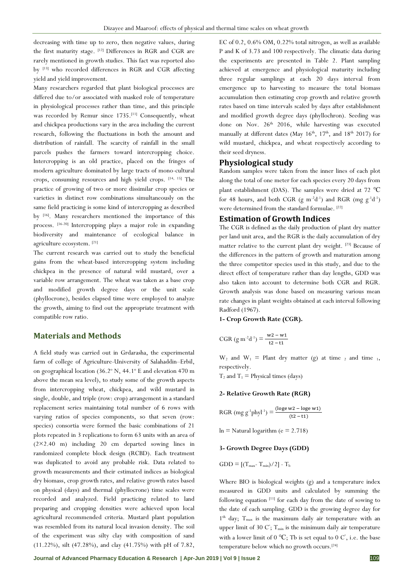decreasing with time up to zero, then negative values, during the first maturity stage. [12] Differences in RGR and CGR are rarely mentioned in growth studies. This fact was reported also by [13] who recorded differences in RGR and CGR affecting yield and yield improvement.

Many researchers regarded that plant biological processes are differed due to/or associated with masked role of temperature in physiological processes rather than time, and this principle was recorded by Remur since 1735.<sup>[11]</sup> Consequently, wheat and chickpea productions vary in the area including the current research, following the fluctuations in both the amount and distribution of rainfall. The scarcity of rainfall in the small parcels pushes the farmers toward intercropping choice. Intercropping is an old practice, placed on the fringes of modern agriculture dominated by large tracts of mono-cultural crops, consuming resources and high yield crops. [14, 15] The practice of growing of two or more dissimilar crop species or varieties in distinct row combinations simultaneously on the same field practicing is some kind of intercropping as described by [16]. Many researchers mentioned the importance of this process. [16-20] Intercropping plays a major role in expanding biodiversity and maintenance of ecological balance in agriculture ecosystem. [21]

The current research was carried out to study the beneficial gains from the wheat-based intercropping system including chickpea in the presence of natural wild mustard, over a variable row arrangement. The wheat was taken as a base crop and modified growth degree days or the unit scale (phyllocrone), besides elapsed time were employed to analyze the growth, aiming to find out the appropriate treatment with compatible row ratio.

## **Materials and Methods**

A field study was carried out in Grdarasha, the experimental farm of college of Agriculture-University of Salahaddin–Erbil, on geographical location (36.2° N, 44.1° E and elevation 470 m above the mean sea level), to study some of the growth aspects from intercropping wheat, chickpea, and wild mustard in single, double, and triple (row: crop) arrangement in a standard replacement series maintaining total number of 6 rows with varying ratios of species components, so that seven (row: species) consortia were formed the basic combinations of 21 plots repeated in 3 replications to form 63 units with an area of (2×2.40 m) including 20 cm departed sowing lines in randomized complete block design (RCBD). Each treatment was duplicated to avoid any probable risk. Data related to growth measurements and their estimated indices as biological dry biomass, crop growth rates, and relative growth rates based on physical (days) and thermal (phyllocrone) time scales were recorded and analyzed. Field practicing related to land preparing and cropping densities were achieved upon local agricultural recommended criteria. Mustard plant population was resembled from its natural local invasion density. The soil of the experiment was silty clay with composition of sand (11.22%), silt (47.28%), and clay (41.75%) with pH of 7.82,

EC of 0.2, 0.6% OM, 0.22% total nitrogen, as well as available P and K of 3.73 and 100 respectively. The climatic data during the experiments are presented in Table 2. Plant sampling achieved at emergence and physiological maturity including three regular samplings at each 20 days interval from emergence up to harvesting to measure the total biomass accumulation then estimating crop growth and relative growth rates based on time intervals scaled by days after establishment and modified growth degree days (phyllochron). Seeding was done on Nov. 26<sup>th</sup> 2016, while harvesting was executed manually at different dates (May  $16^{th}$ ,  $17^{th}$ , and  $18^{th}$  2017) for wild mustard, chickpea, and wheat respectively according to their seed dryness.

## **Physiological study**

Random samples were taken from the inner lines of each plot along the total of one meter for each species every 20 days from plant establishment (DAS). The samples were dried at 72 ℃ for 48 hours, and both CGR  $(g m^{-2}d^{-1})$  and RGR  $(mg g^{-1}d^{-1})$ were determined from the standard formulae. [22]

## **Estimation of Growth Indices**

The CGR is defined as the daily production of plant dry matter per land unit area, and the RGR is the daily accumulation of dry matter relative to the current plant dry weight. [23] Because of the differences in the pattern of growth and maturation among the three competitor species used in this study, and due to the direct effect of temperature rather than day lengths, GDD was also taken into account to determine both CGR and RGR. Growth analysis was done based on measuring various mean rate changes in plant weights obtained at each interval following Radford (1967).

**1- Crop Growth Rate (CGR).**

$$
CGR (g m-2d-1) = \frac{w2 - w1}{t2 - t1}
$$

 $W_2$  and  $W_1$  = Plant dry matter (g) at time 2 and time 1, respectively.

 $T_2$  and  $T_1$  = Physical times (days)

#### **2- Relative Growth Rate (RGR)**

RGR (mg g<sup>-1</sup>phyl<sup>-1</sup>) =  $\frac{(\text{loge w2} - \text{loge w1})}{(12 - 11)}$  $(t2 - t1)$ 

 $ln =$  Natural logarithm ( $e = 2.718$ )

#### **3- Growth Degree Days (GDD)**

$$
GDD = [(T_{\text{max}} \cdot T_{\text{min}})/2] - T_b
$$

Where BIO is biological weights (g) and a temperature index measured in GDD units and calculated by summing the following equation<sup>[11]</sup> for each day from the date of sowing to the date of each sampling. GDD is the growing degree day for 1<sup>th</sup> day; T<sub>max</sub> is the maximum daily air temperature with an upper limit of 30  $C$ ;  $T_{min}$  is the minimum daily air temperature with a lower limit of 0  $^{\circ}C$ ; Tb is set equal to 0  $C^{\circ}$ , i.e. the base temperature below which no growth occurs.[24]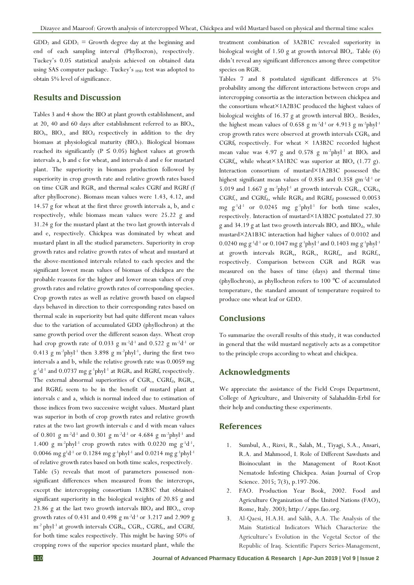$GDD<sub>2</sub>$  and  $GDD<sub>1</sub> = Growth$  degree day at the beginning and end of each sampling interval (Phyllocron), respectively. Tuckey's 0.05 statistical analysis achieved on obtained data using SAS computer package. Tuckey's  $_{\rm HSD}$  test was adopted to obtain 5% level of significance.

## **Results and Discussion**

Tables 3 and 4 show the BIO at plant growth establishment, and at 20, 40 and 60 days after establishment referred to as BIO<sub>a</sub>, BIO<sub>b</sub>, BIO<sub>c</sub>, and BIO<sub>d</sub> respectively in addition to the dry biomass at physiological maturity (BIO<sub>e</sub>). Biological biomass reached its significantly ( $P \leq 0.05$ ) highest values at growth intervals a, b and c for wheat, and intervals d and e for mustard plant. The superiority in biomass production followed by superiority in crop growth rate and relative growth rates based on time CGR and RGR, and thermal scales CGRf and RGRf (f after phyllocrone). Biomass mean values were 1.43, 4.12, and 14.57 g for wheat at the first three growth intervals a, b, and c respectively, while biomass mean values were 25.22 g and 31.24 g for the mustard plant at the two last growth intervals d and e, respectively. Chickpea was dominated by wheat and mustard plant in all the studied parameters. Superiority in crop growth rates and relative growth rates of wheat and mustard at the above-mentioned intervals related to each species and the significant lowest mean values of biomass of chickpea are the probable reasons for the higher and lower mean values of crop growth rates and relative growth rates of corresponding species. Crop growth rates as well as relative growth based on elapsed days behaved in direction to their corresponding rates based on thermal scale in superiority but had quite different mean values due to the variation of accumulated GDD (phyllochron) at the same growth period over the different season days. Wheat crop had crop growth rate of 0.033 g m<sup>-2</sup>d<sup>-1</sup> and 0.522 g m<sup>-2</sup>d<sup>-1</sup> or  $0.413$  g m<sup>-2</sup>phyl<sup>-1</sup> then  $3.898$  g m<sup>-2</sup>phyl<sup>-1</sup>, during the first two intervals a and b, while the relative growth rate was 0.0059 mg  $g^{-1}d^{-1}$  and 0.0737 mg  $g^{-1}$ phyl<sup>-1</sup> at RGR<sub>a</sub> and RGRf<sub>a</sub> respectively. The external abnormal superiorities of  $CGR_c$ ,  $CGR_f$ ,  $RGR_c$ , and RGRf<sub>d</sub> seem to be in the benefit of mustard plant at intervals c and a, which is normal indeed due to estimation of those indices from two successive weight values. Mustard plant was superior in both of crop growth rates and relative growth rates at the two last growth intervals c and d with mean values of 0.801 g m<sup>-2</sup>d<sup>-1</sup> and 0.301 g m<sup>-2</sup>d<sup>-1</sup> or 4.684 g m<sup>-2</sup>phyl<sup>-1</sup> and 1.400 g m<sup>-2</sup>phyl<sup>-1</sup> crop growth rates with 0.0220 mg  $g^{-1}d^{-1}$ , 0.0046 mg g<sup>1</sup>d<sup>-1</sup> or 0.1284 mg g<sup>-1</sup>phyl<sup>-1</sup> and 0.0214 mg g<sup>-1</sup>phyl<sup>-1</sup> of relative growth rates based on both time scales, respectively. Table (5) reveals that most of parameters possessed nonsignificant differences when measured from the intercrops, except the intercropping consortium 1A2B3C that obtained significant superiority in the biological weights of 20.85 g and 23.86 g at the last two growth intervals  $BIO_d$  and  $BIO_e$ , crop growth rates of 0.431 and 0.498 g m<sup>-2</sup>d<sup>-1</sup> or 3.217 and 2.909 g  $m^{-2}$  phyl<sup>-1</sup> at growth intervals  $CGR_b$ ,  $CGR_c$ ,  $CGR_f$ <sub>b</sub>, and  $CGR_f$ for both time scales respectively. This might be having 50% of cropping rows of the superior species mustard plant, while the

treatment combination of 3A2B1C revealed superiority in biological weight of 1.50 g at growth interval  $BIO<sub>a</sub>$ . Table (6) didn't reveal any significant differences among three competitor species on RGR.

Tables 7 and 8 postulated significant differences at 5% probability among the different interactions between crops and intercropping consortia as the interaction between chickpea and the consortium wheat×1A2B3C produced the highest values of biological weights of 16.37 g at growth interval  $BIO<sub>c</sub>$ . Besides, the highest mean values of 0.658 g m<sup>-2</sup>d<sup>-1</sup> or 4.913 g m<sup>-2</sup>phyl<sup>-1</sup> crop growth rates were observed at growth intervals CGR<sub>b</sub> and  $CGRf<sub>b</sub>$  respectively. For wheat  $\times$  1A3B2C recorded highest mean value was 4.97 g and 0.578 g m<sup>-2</sup>phyl<sup>-1</sup> at BIO<sub>b</sub> and CGRf<sub>a</sub>, while wheat×3A1B2C was superior at BIO<sub>a</sub> (1.77 g). Interaction consortium of mustard×1A2B3C possessed the highest significant mean values of 0.858 and 0.358 gm<sup>-2</sup>d<sup>-1</sup> or 5.019 and 1.667 g m<sup>-2</sup>phyl<sup>-1</sup> at growth intervals  $CGR_c$ ,  $CGR_d$ ,  $CGRf_c$ , and  $CGRf_d$ , while  $RGR_d$  and  $RGRf_d$  possessed 0.0053 mg  $g^{-1}d^{-1}$  or 0.0245 mg  $g^{-1}phyl^{-1}$  for both time scales, respectively. Interaction of mustard×1A3B2C postulated 27.30 g and 34.19 g at last two growth intervals  $BIO<sub>e</sub>$  and  $BIO<sub>d</sub>$ , while mustard×2A1B3C interaction had higher values of 0.0102 and 0.0240 mg g-1d -1 or 0.1047 mg g-1phyl-1 and 0.1403 mg g-1phyl-1 at growth intervals RGR<sub>a</sub>, RGR<sub>c</sub>, RGRf<sub>a</sub>, and RGRf<sub>c</sub>, respectively. Comparison between CGR and RGR was measured on the bases of time (days) and thermal time (phyllochron), as phyllochron refers to 100 ℃ of accumulated temperature, the standard amount of temperature required to produce one wheat leaf or GDD.

## **Conclusions**

To summarize the overall results of this study, it was conducted in general that the wild mustard negatively acts as a competitor to the principle crops according to wheat and chickpea.

## **Acknowledgments**

We appreciate the assistance of the Field Crops Department, College of Agriculture, and University of Salahaddin-Erbil for their help and conducting these experiments.

## **References**

- 1. Sumbul, A., Rizvi, R., Salah, M., Tiyagi, S.A., Ansari, R.A. and Mahmood, I. Role of Different Sawdusts and Bioinoculant in the Management of Root-Knot Nematode Infesting Chickpea. Asian Journal of Crop Science. 2015; 7(3), p.197-206.
- 2. FAO. Production Year Book, 2002. Food and Agriculture Organization of the United Nations (FAO), Rome, Italy. 2003; http://apps.fao.org.
- 3. Al-Qaesi, H.A.H. and Salih, A.A. The Analysis of the Main Statistical Indicators Which Characterize the Agriculture's Evolution in the Vegetal Sector of the Republic of Iraq. Scientific Papers Series-Management,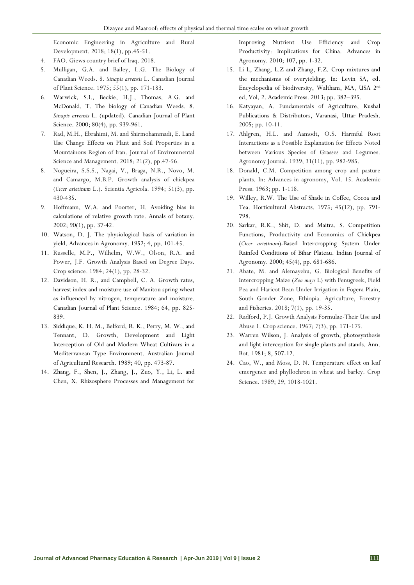Economic Engineering in Agriculture and Rural Development. 2018; 18(1), pp.45-51.

- 4. FAO. Giews country brief of Iraq. 2018.
- 5. Mulligan, G.A. and Bailey, L.G. The Biology of Canadian Weeds. 8. *Sinapis arvensis* L. Canadian Journal of Plant Science. 1975; *55*(1), pp. 171-183.
- 6. Warwick, S.I., Beckie, H.J., Thomas, A.G. and McDonald, T. The biology of Canadian Weeds. 8. *Sinapis arvensis* L. (updated). Canadian Journal of Plant Science. 2000; 80(4), pp. 939-961.
- 7. Rad, M.H., Ebrahimi, M. and Shirmohammadi, E. Land Use Change Effects on Plant and Soil Properties in a Mountainous Region of Iran. Journal of Environmental Science and Management. 2018; 21(2), pp.47-56.
- 8. Nogueira, S.S.S., Nagai, V., Braga, N.R., Novo, M. and Camargo, M.B.P. Growth analysis of chickpea (*Cicer arietinum* L.). Scientia Agricola. 1994; 51(3), pp. 430-435.
- 9. Hoffmann, W.A. and Poorter, H. Avoiding bias in calculations of relative growth rate. Annals of botany. 2002; 90(1), pp. 37-42.
- 10. Watson, D. J. The physiological basis of variation in yield. Advances in Agronomy. 1952; 4, pp. 101-45.
- 11. Russelle, M.P., Wilhelm, W.W., Olson, R.A. and Power, J.F. Growth Analysis Based on Degree Days. Crop science. 1984; 24(1), pp. 28-32.
- 12. Davidson, H. R., and Campbell, C. A. Growth rates, harvest index and moisture use of Manitou spring wheat as influenced by nitrogen, temperature and moisture. Canadian Journal of Plant Science. 1984; 64, pp. 825- 839.
- 13. Siddique, K. H. M., Belford, R. K., Perry, M. W., and Tennant, D. Growth, Development and Light Interception of Old and Modern Wheat Cultivars in a Mediterranean Type Environment. Australian Journal of Agricultural Research. 1989; 40, pp. 473-87.
- 14. Zhang, F., Shen, J., Zhang, J., Zuo, Y., Li, L. and Chen, X. Rhizosphere Processes and Management for

Improving Nutrient Use Efficiency and Crop Productivity: Implications for China. Advances in Agronomy. 2010; 107, pp. 1-32.

- 15. Li L, Zhang, L.Z and Zhang, F.Z. Crop mixtures and the mechanisms of overyielding. In: Levin SA, ed. Encyclopedia of biodiversity, Waltham, MA, USA 2nd ed, Vol, 2. Academic Press. 2013; pp. 382–395.
- 16. Katyayan, A. Fundamentals of Agriculture, Kushal Publications & Distributors, Varanasi, Uttar Pradesh. 2005; pp. 10-11.
- 17. Ahlgren, H.L. and Aamodt, O.S. Harmful Root Interactions as a Possible Explanation for Effects Noted between Various Species of Grasses and Legumes. Agronomy Journal*.* 1939; 31(11), pp. 982-985.
- 18. Donald, C.M. Competition among crop and pasture plants. In: Advances in agronomy, Vol. 15. Academic Press. 1963; pp. 1-118.
- 19. Willey, R.W. The Use of Shade in Coffee, Cocoa and Tea. Horticultural Abstracts. 1975; 45(12), pp. 791- 798.
- 20. Sarkar, R.K., Shit, D. and Maitra, S. Competition Functions, Productivity and Economics of Chickpea (*Cicer arietinum*)-Based Intercropping System Under Rainfed Conditions of Bihar Plateau. Indian Journal of Agronomy. 2000; 45(4), pp. 681-686.
- 21. Abate, M. and Alemayehu, G. Biological Benefits of Intercropping Maize (*Zea mays* L) with Fenugreek, Field Pea and Haricot Bean Under Irrigation in Fogera Plain, South Gonder Zone, Ethiopia. Agriculture, Forestry and Fisheries. 2018; 7(1), pp. 19-35.
- 22. Radford, P.J. Growth Analysis Formulae-Their Use and Abuse 1. Crop science. 1967; *7*(3), pp. 171-175.
- 23. Warren Wilson, J. Analysis of growth, photosynthesis and light interception for single plants and stands. Ann. Bot. 1981; 8, 507-12.
- 24. Cao, W., and Moss, D. N. Temperature effect on leaf emergence and phyllochron in wheat and barley. Crop Science. 1989; 29, 1018-1021.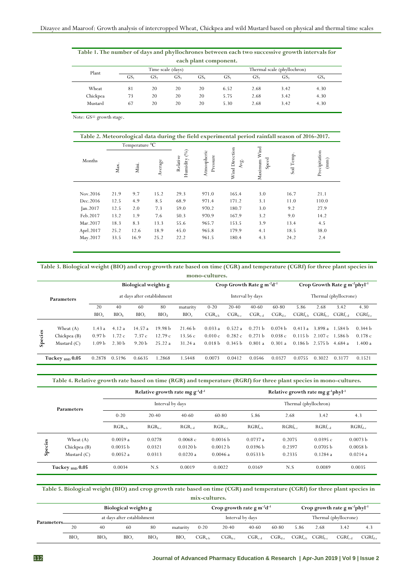| Table 1. The number of days and phyllochrones between each two successive growth intervals for |                       |     |                 |                 |      |                 |                 |      |  |  |  |  |  |  |  |
|------------------------------------------------------------------------------------------------|-----------------------|-----|-----------------|-----------------|------|-----------------|-----------------|------|--|--|--|--|--|--|--|
|                                                                                                | each plant component. |     |                 |                 |      |                 |                 |      |  |  |  |  |  |  |  |
| Time scale (days)<br>Thermal scale (phyllochron)<br>Plant                                      |                       |     |                 |                 |      |                 |                 |      |  |  |  |  |  |  |  |
|                                                                                                | GS <sub>1</sub>       | GS, | GS <sub>2</sub> | GS <sub>4</sub> | GS.  | GS <sub>2</sub> | GS <sub>3</sub> | GS4  |  |  |  |  |  |  |  |
| Wheat                                                                                          | 81                    | 20  | 20              | 20              | 6.52 | 2.68            | 3.42            | 4.30 |  |  |  |  |  |  |  |
| Chickpea                                                                                       | 73                    | 20  | 20              | 20              | 5.75 | 2.68            | 3.42            | 4.30 |  |  |  |  |  |  |  |
| Mustard                                                                                        | 67                    | 20  | 20              | 20              | 5.30 | 2.68            | 3.42            | 4.30 |  |  |  |  |  |  |  |

Note: GS= growth stage.

| Table 2. Meteorological data during the field experimental period rainfall season of 2016-2017.<br>Temperature °C |      |       |         |                             |                         |                        |                       |               |                       |  |  |  |  |  |
|-------------------------------------------------------------------------------------------------------------------|------|-------|---------|-----------------------------|-------------------------|------------------------|-----------------------|---------------|-----------------------|--|--|--|--|--|
|                                                                                                                   |      |       |         |                             |                         |                        |                       |               |                       |  |  |  |  |  |
| Months                                                                                                            | Max. | Mini. | Average | (%)<br>Relative<br>Humidity | Atmospheric<br>Pressure | Wind Direction<br>Avg. | Maximum Wind<br>Speed | Temp.<br>Soil | Precipitation<br>(mm) |  |  |  |  |  |
|                                                                                                                   |      |       |         |                             |                         |                        |                       |               |                       |  |  |  |  |  |
| Nov.2016                                                                                                          | 21.9 | 9.7   | 15.2    | 29.3                        | 971.0                   | 165.4                  | 3.0                   | 16.7          | 21.1                  |  |  |  |  |  |
| Dec. 2016                                                                                                         | 12.5 | 4.9   | 8.5     | 68.9                        | 971.4                   | 171.2                  | 3.1                   | 11.0          | 110.0                 |  |  |  |  |  |
| Jan.2017                                                                                                          | 12.5 | 2.0   | 7.3     | 59.0                        | 970.2                   | 180.7                  | 3.0                   | 9.2           | 27.9                  |  |  |  |  |  |
| Feb.2017                                                                                                          | 13.2 | 1.9   | 7.6     | 50.3                        | 970.9                   | 167.9                  | 3.2                   | 9.0           | 14.2                  |  |  |  |  |  |
| Mar.2017                                                                                                          | 18.3 | 8.3   | 13.3    | 55.6                        | 965.7                   | 153.5                  | 3.9                   | 13.4          | 4.5                   |  |  |  |  |  |
| Aprl. 2017                                                                                                        | 25.2 | 12.6  | 18.9    | 45.0                        | 965.8                   | 179.9                  | 4.1                   | 18.5          | 38.0                  |  |  |  |  |  |
| May.2017                                                                                                          | 33.5 | 16.9  | 25.2    | 22.2                        | 961.5                   | 180.4                  | 4.3                   | 24.2          | 2.4                   |  |  |  |  |  |

#### **Table 3. Biological weight (BIO) and crop growth rate based on time (CGR) and temperature (CGRf) for three plant species in mono-cultures.**

|                                                                                                        | mono canal com<br>Biological weights g                                    |                                                                                                  |       |         |                                   |                    |                                                       |             |                    |                    |                       |                           |                    |                         |
|--------------------------------------------------------------------------------------------------------|---------------------------------------------------------------------------|--------------------------------------------------------------------------------------------------|-------|---------|-----------------------------------|--------------------|-------------------------------------------------------|-------------|--------------------|--------------------|-----------------------|---------------------------|--------------------|-------------------------|
|                                                                                                        |                                                                           |                                                                                                  |       |         | Crop Growth Rate $g m^{-2}d^{-1}$ |                    | Crop Growth Rate g m <sup>-2</sup> phyl <sup>-1</sup> |             |                    |                    |                       |                           |                    |                         |
|                                                                                                        | <b>Parameters</b>                                                         | at days after establishment                                                                      |       |         |                                   |                    | Interval by days                                      |             |                    |                    | Thermal (phyllocrone) |                           |                    |                         |
|                                                                                                        |                                                                           | 20<br>80<br>40<br>60<br>maturity                                                                 |       |         |                                   |                    | $0 - 20$                                              | $20-40$     | $40-60$            | 60-80              | 5.86                  | 2.68                      | 3.42               | 4.30                    |
|                                                                                                        |                                                                           | BIO <sub>b</sub><br>BIO <sub>a</sub><br>BIO <sub>c</sub><br>BIO <sub>d</sub><br>BIO <sub>e</sub> |       |         |                                   |                    | $CGR_{a-h}$                                           | $CGR_{b-c}$ | $CGR_{c-d}$        | $CGR_{der}$        | $CGRf_{a-b}$          | $CGRf_{bcc}$ $CGRf_{c-d}$ |                    | $CGRf_{\rm d\text{-}e}$ |
|                                                                                                        |                                                                           |                                                                                                  |       |         |                                   |                    |                                                       |             |                    |                    |                       |                           |                    |                         |
|                                                                                                        | Wheat $(A)$                                                               | 1.43 a                                                                                           | 4.12a | 14.57 a | 19.98 <sub>b</sub>                | 21.46 <sub>b</sub> | 0.033a                                                | 0.522a      | 0.271 <sub>b</sub> | 0.074 <sub>b</sub> | 0.413a                | 3.898 a                   | 1.584 b            | 0.344 b                 |
| cies                                                                                                   | Chickpea (B)                                                              | 12.79c<br>1.72c<br>13.56c<br>0.97 <sub>b</sub><br>7.37c                                          |       |         |                                   |                    | 0.010c                                                | 0.282c      | 0.271 h            | 0.038c             | 0.115 <sub>b</sub>    |                           | $2.107c - 1.586 b$ | 0.178c                  |
| $S_{\rm pe}$<br>2.30 <sub>b</sub><br>25.22a<br>9.20 <sub>b</sub><br>31.24a<br>l .09 b<br>Mustard $(C)$ |                                                                           |                                                                                                  |       |         | 0.018 <sub>b</sub>                | 0.345 <sub>b</sub> | 0.801 a                                               | 0.301a      | 0.186 <sub>b</sub> | 2.575 b            | 4.684a                | 1.400a                    |                    |                         |
|                                                                                                        | .2868<br>0.2878<br>0.5196<br>1.5448<br>Tuckey $_{\rm HSD}$ 0.05<br>0.6635 |                                                                                                  |       |         |                                   |                    |                                                       | 0.0412      | 0.0546             | 0.0327             | 0.0755                | 0.3022                    | 0.3177             | 0.1521                  |

**Table 4. Relative growth rate based on time (RGR) and temperature (RGRf) for three plant species in mono-cultures.**

|         |                          |             |            | Relative growth rate mg $g^{-1}d^{-1}$ |                   | Relative growth rate mg $g^{-1}$ phyl <sup>-1</sup> |                    |              |              |  |  |  |
|---------|--------------------------|-------------|------------|----------------------------------------|-------------------|-----------------------------------------------------|--------------------|--------------|--------------|--|--|--|
|         | <b>Parameters</b>        |             |            | Interval by days                       |                   | Thermal (phyllochron)                               |                    |              |              |  |  |  |
|         |                          | $0 - 20$    | $20 - 40$  | $40-60$                                | 60-80             | 5.86                                                | 2.68               | 3.42         | 4.3          |  |  |  |
|         |                          | $RGR_{a-h}$ | $RGR_{bc}$ | $RGR_{c-d}$                            | $RGR_{\text{de}}$ | $RGRf_{a:b}$                                        | $RGRf_{\text{bc}}$ | $RGRf_{c-d}$ | $RGRf_{dec}$ |  |  |  |
|         | Wheat $(A)$              | 0.0059a     | 0.0278     | 0.0068c                                | 0.0016 b          | 0.0737a                                             | 0.2075             | 0.0395c      | 0.0073 b     |  |  |  |
| Species | Chickpea (B)             | 0.0035 b    | 0.0321     | 0.0120 b                               | 0.0012 b          | 0.0396 b                                            | 0.2397             | 0.0705 b     | 0.0058 b     |  |  |  |
|         | Mustard $(C)$            | 0.0052a     | 0.0313     | 0.0220a                                | 0.0046a           | 0.0533 b                                            | 0.2335             | 0.1284a      | 0.0214a      |  |  |  |
|         | Tuckey $_{\rm HSD}$ 0.05 | 0.0034      | N.S        | 0.0019                                 | 0.0022            | 0.0169                                              | N.S                | 0.0089       | 0.0035       |  |  |  |

**Table 5. Biological weight (BIO) and crop growth rate based on time (CGR) and temperature (CGRf) for three plant species in**  mix-cult

|            |      |                  | Biological weights g        |                  |                  |            | Crop growth rate g $m^{-2}d^{-1}$ |                  |                   | Crop growth rate g m <sup>-2</sup> phyl <sup>-1</sup> |                   |                       |              |  |
|------------|------|------------------|-----------------------------|------------------|------------------|------------|-----------------------------------|------------------|-------------------|-------------------------------------------------------|-------------------|-----------------------|--------------|--|
| Parameters |      |                  | at days after establishment |                  |                  |            |                                   | Interval by days |                   |                                                       |                   | Thermal (phyllocrone) |              |  |
|            | 20   | 40               | 60                          | 80               | maturity         | $0 - 20$   | $20-40$                           | $40-60$          | 60-80             | 5.86                                                  | 2.68              | 3.42                  | 4.3          |  |
|            | BIO. | BIO <sub>h</sub> | BIO <sub>c</sub>            | BIO <sub>d</sub> | BIO <sub>e</sub> | $CGR_{ab}$ | $CGR_{\text{bc}}$                 | $CGR_{c-d}$      | $CGR_{\text{de}}$ | $CGRf_{a-b}$                                          | $CGRf_{\rm b.c.}$ | $CGRf_{c,d}$          | $CGRf_{dec}$ |  |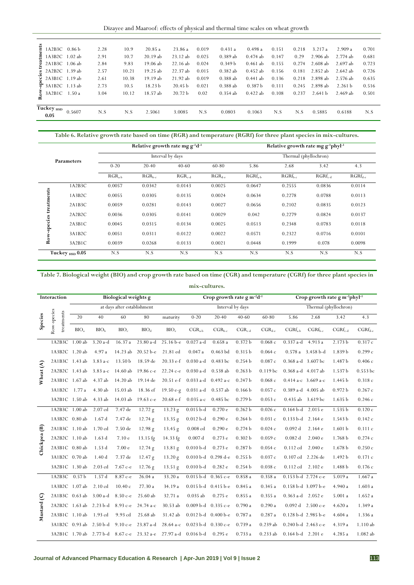| nts<br>Ħ<br>rea | 1A2B3C -<br>1A3B2C 1.02 ab<br>2A1B3C 1.06 ab                | 0.86 <sub>b</sub> | 2.28<br>2.91<br>2.84 | 10.9<br>10.7<br>9.83 | 20.85a<br>20.19ab<br>19.06 ab  | 23.86a<br>23.12 ab<br>22.16ab            | 0.019<br>0.025<br>0.024 | 0.431a<br>0.389ab<br>0.349 b | 0.498a<br>$0.474$ ab<br>$0.461$ ab | 0.151<br>0.147<br>0.155 | 0.218<br>0.29<br>0.274 | 3.217a<br>$2.906$ ab<br>$2.608$ ab | 2.909a<br>2.774 ab<br>$2.697$ ab | 0.701<br>0.681<br>0.723 |
|-----------------|-------------------------------------------------------------|-------------------|----------------------|----------------------|--------------------------------|------------------------------------------|-------------------------|------------------------------|------------------------------------|-------------------------|------------------------|------------------------------------|----------------------------------|-------------------------|
|                 | <sub>3</sub> 2A2B2C 1.39 ab<br>$\frac{1}{6}$ 2A3B1C 1.19 ab |                   | 2.57<br>2.61         | 10.21<br>10.38       | 19.25 ab<br>19.19 ab           | 22.37 ab<br>21.92 ab                     | 0.015<br>0.019          | $0.382$ ab<br>0.388ab        | $0.452$ ab<br>$0.441$ ab           | 0.156<br>0.136          | 0.181<br>0.218         | 2.852 ab<br>2.898 ab               | $2.642$ ab<br>2.576 ab           | 0.726<br>0.635          |
|                 | $\frac{1}{9}$ 3A1B2C 1.13 ab<br>$\frac{2}{9}$ 3A2B1C        | 1.50a             | 2.73<br>3.04         | 10.5<br>10.12        | 18.23 <sub>b</sub><br>18.57 ab | 20.45 <sub>b</sub><br>20.72 <sub>b</sub> | 0.021<br>0.02           | 0.388ab<br>$0.354$ ab        | 0.387 <sub>b</sub><br>$0.422$ ab   | 0.111<br>0.108          | 0.245<br>0.237         | 2.898 ab<br>2.641 <sub>b</sub>     | 2.261 <sub>b</sub><br>2.469 ab   | 0.516<br>0.501          |
|                 | Tuckey <sub>HSD</sub><br>0.05                               | 0.5607            | N.S                  | N.S                  | 2.5061                         | 3.0085                                   | N.S                     | 0.0803                       | 0.1063                             | N.S                     | N.S                    | 0.5885                             | 0.6188                           | N.S                     |

|         |                          |          |            | Relative growth rate mg $g^{-1}d^{-1}$ |                    |           | Relative growth rate mg $g^{-1}$ phyl <sup>-1</sup> |              |              |
|---------|--------------------------|----------|------------|----------------------------------------|--------------------|-----------|-----------------------------------------------------|--------------|--------------|
|         | <b>Parameters</b>        |          |            | Interval by days                       |                    |           | Thermal (phyllochron)                               |              |              |
|         |                          | $0 - 20$ | $20-40$    | $40-60$                                | 60-80              | 5.86      | 2.68                                                | 3.42         | 4.3          |
|         |                          | $RGRa-b$ | $RGR_{bc}$ | $RGR_{c-d}$                            | $RGR_{\text{d-e}}$ | $RGRfa-h$ | $RGRf_{\text{b-c}}$                                 | $RGRf_{c,d}$ | $RGRf_{der}$ |
|         | 1A2B3C                   | 0.0057   | 0.0342     | 0.0143                                 | 0.0025             | 0.0647    | 0.2555                                              | 0.0836       | 0.0114       |
| ents    | 1A3B2C                   | 0.0055   | 0.0305     | 0.0135                                 | 0.0024             | 0.0634    | 0.2278                                              | 0.0788       | 0.0113       |
|         | 2A1B3C                   | 0.0059   | 0.0281     | 0.0143                                 | 0.0027             | 0.0656    | 0.2102                                              | 0.0835       | 0.0123       |
|         | 2A2B2C                   | 0.0036   | 0.0305     | 0.0141                                 | 0.0029             | 0.042     | 0.2279                                              | 0.0824       | 0.0137       |
| species | 2A3B1C                   | 0.0045   | 0.0315     | 0.0134                                 | 0.0025             | 0.0513    | 0.2348                                              | 0.0783       | 0.0118       |
|         | 3A1B2C                   | 0.0051   | 0.0311     | 0.0122                                 | 0.0022             | 0.0571    | 0.2322                                              | 0.0716       | 0.0101       |
| Ro      | 3A2B1C                   | 0.0039   | 0.0268     | 0.0133                                 | 0.0021             | 0.0448    | 0.1999                                              | 0.078        | 0.0098       |
|         | Tuckey $_{\rm HSD}$ 0.05 | N.S      | N.S        | N.S                                    | N.S                | N.S       | N.S                                                 | N.S          | N.S          |

# **Table 7. Biological weight (BIO) and crop growth rate based on time (CGR) and temperature (CGRf) for three plant species in mix-cultures.**

|                                                       | 1A2B3C 0.86 b             |                         | 2.28                                                                                                                        | 10.9                        | 20.85a             | 23.86 a                                                 | 0.019                         | 0.431a                                                                                                            | 0.498a             | 0.151       | 0.218                       | 3.217 a                                                    | 2.909 a            | 0.701                                                                                                                                                                                                                                  |
|-------------------------------------------------------|---------------------------|-------------------------|-----------------------------------------------------------------------------------------------------------------------------|-----------------------------|--------------------|---------------------------------------------------------|-------------------------------|-------------------------------------------------------------------------------------------------------------------|--------------------|-------------|-----------------------------|------------------------------------------------------------|--------------------|----------------------------------------------------------------------------------------------------------------------------------------------------------------------------------------------------------------------------------------|
|                                                       | 1A3B2C 1.02 ab            |                         | 2.91                                                                                                                        | 10.7                        | 20.19 ab           | 23.12 ab                                                | 0.025                         | 0.389 ab                                                                                                          | $0.474$ ab         | 0.147       | 0.29                        | 2.906 ab                                                   | 2.774 ab           | 0.681                                                                                                                                                                                                                                  |
|                                                       | 2A1B3C 1.06 ab            |                         | 2.84                                                                                                                        | 9.83                        | 19.06 ab           | 22.16 ab                                                | 0.024                         | 0.349 b                                                                                                           | $0.461$ ab         | 0.155       | 0.274                       | 2.608 ab                                                   | 2.697 ab           | 0.723                                                                                                                                                                                                                                  |
|                                                       | 2A2B2C 1.39 ab            |                         | 2.57                                                                                                                        | 10.21                       | 19.25 ab           | 22.37 ab                                                | 0.015                         | 0.382 ab                                                                                                          | $0.452$ ab         | 0.156       | 0.181                       | 2.852 ab                                                   | 2.642 ab           | 0.726                                                                                                                                                                                                                                  |
|                                                       | 2A3B1C 1.19 ab            |                         | 2.61                                                                                                                        | 10.38                       | 19.19 ab           | 21.92 ab                                                | 0.019                         | 0.388 ab                                                                                                          | $0.441$ ab         | 0.136       | 0.218                       | 2.898 ab                                                   | 2.576 ab           | 0.635                                                                                                                                                                                                                                  |
|                                                       | 3A1B2C 1.13 ab            |                         | 2.73                                                                                                                        | 10.5                        | 18.23 b            | 20.45 <sub>b</sub>                                      | 0.021                         | 0.388 ab                                                                                                          | 0.387 <sub>b</sub> | 0.111       | 0.245                       | 2.898 ab                                                   | 2.261 <sub>b</sub> | 0.516                                                                                                                                                                                                                                  |
|                                                       | 3A2B1C 1.50 a             |                         | 3.04                                                                                                                        | 10.12                       | 18.57 ab           | 20.72 b                                                 | 0.02                          | $0.354$ ab                                                                                                        | $0.422$ ab         | 0.108       | 0.237                       | 2.641 b                                                    | 2.469 ab           | 0.501                                                                                                                                                                                                                                  |
| 0.05                                                  | Tuckey $_{\rm HSD}$       | 0.5607                  | $\mathbf{N}.\mathbf{S}$                                                                                                     | N.S                         | 2.5061             | 3.0085                                                  | N.S                           | 0.0803                                                                                                            | 0.1063             | N.S         | N.S                         | 0.5885                                                     | 0.6188             | N.S                                                                                                                                                                                                                                    |
|                                                       |                           |                         |                                                                                                                             |                             |                    |                                                         |                               | Table 6. Relative growth rate based on time (RGR) and temperature (RGRf) for three plant species in mix-cultures. |                    |             |                             |                                                            |                    |                                                                                                                                                                                                                                        |
|                                                       |                           |                         |                                                                                                                             |                             |                    | Relative growth rate mg g <sup>-1</sup> d <sup>-1</sup> |                               |                                                                                                                   |                    |             |                             | Relative growth rate mg g <sup>-1</sup> phyl <sup>-1</sup> |                    |                                                                                                                                                                                                                                        |
|                                                       |                           | Parameters              |                                                                                                                             |                             |                    | Interval by days                                        |                               |                                                                                                                   |                    |             |                             | Thermal (phyllochron)                                      |                    |                                                                                                                                                                                                                                        |
|                                                       |                           |                         |                                                                                                                             | $0 - 20$                    | $20 - 40$          |                                                         | $40 - 60$                     | 60-80                                                                                                             | 5.86               |             | 2.68                        | 3.42                                                       |                    | 4.3                                                                                                                                                                                                                                    |
|                                                       |                           |                         |                                                                                                                             | $RGR_{a-b}$                 | $RGR_{b-c}$        | $RGR_{c-d}$                                             |                               | $RGR_{d-e}$                                                                                                       | $RGRf_{a-b}$       |             | $RGRf_{b-c}$                | $RGRf_{c-d}$                                               |                    | $RGRf_{d-c}$                                                                                                                                                                                                                           |
|                                                       |                           | 1A2B3C                  |                                                                                                                             | 0.0057                      | 0.0342             |                                                         | 0.0143                        | 0.0025                                                                                                            | 0.0647             |             | 0.2555                      | 0.0836                                                     |                    | 0.0114                                                                                                                                                                                                                                 |
|                                                       |                           | 1A3B2C                  |                                                                                                                             | 0.0055                      | 0.0305             | 0.0135                                                  |                               | 0.0024                                                                                                            | 0.0634             |             | 0.2278                      | 0.0788                                                     |                    | 0.0113                                                                                                                                                                                                                                 |
|                                                       |                           | 2A1B3C                  |                                                                                                                             | 0.0059                      | 0.0281             | 0.0143                                                  |                               | 0.0027                                                                                                            | 0.0656             |             | 0.2102                      | 0.0835                                                     |                    | 0.0123                                                                                                                                                                                                                                 |
|                                                       |                           | 2A2B2C                  |                                                                                                                             | 0.0036                      | 0.0305             | 0.0141                                                  |                               | 0.0029                                                                                                            | 0.042              |             | 0.2279                      | 0.0824                                                     |                    | 0.0137                                                                                                                                                                                                                                 |
| Row-species treatments                                |                           | 2A3B1C                  |                                                                                                                             | 0.0045                      | 0.0315             | 0.0134                                                  |                               | 0.0025                                                                                                            | 0.0513             |             | 0.2348                      | 0.0783                                                     |                    | 0.0118                                                                                                                                                                                                                                 |
|                                                       |                           | 3A1B2C                  |                                                                                                                             | 0.0051                      | 0.0311             | 0.0122                                                  |                               | 0.0022                                                                                                            | 0.0571             |             | 0.2322                      | 0.0716                                                     |                    | 0.0101                                                                                                                                                                                                                                 |
|                                                       |                           | 3A2B1C                  |                                                                                                                             | 0.0039                      | 0.0268             | 0.0133                                                  |                               | 0.0021                                                                                                            | 0.0448             |             | 0.1999                      | 0.078                                                      |                    | 0.0098                                                                                                                                                                                                                                 |
|                                                       |                           | Tuckey HSD 0.05         |                                                                                                                             | N.S                         | N.S                | $\mathbf{N.S}$                                          |                               | N.S                                                                                                               | N.S                |             | N.S                         | N.S                                                        |                    | N.S                                                                                                                                                                                                                                    |
|                                                       |                           |                         | Table 7. Biological weight (BIO) and crop growth rate based on time (CGR) and temperature (CGRf) for three plant species in |                             |                    |                                                         |                               |                                                                                                                   |                    |             |                             |                                                            |                    |                                                                                                                                                                                                                                        |
|                                                       | Interaction               |                         |                                                                                                                             | <b>Biological weights g</b> |                    |                                                         | mix-cultures.                 | Crop growth rate g $m^{-2}d^{-1}$                                                                                 |                    |             |                             | Crop growth rate g m <sup>-2</sup> phyl <sup>-1</sup>      |                    |                                                                                                                                                                                                                                        |
|                                                       |                           |                         |                                                                                                                             | at days after establishment |                    |                                                         |                               | Interval by days                                                                                                  |                    |             |                             | Thermal (phyllochron)                                      |                    |                                                                                                                                                                                                                                        |
|                                                       |                           | 20                      | 40                                                                                                                          | 60                          | 80                 | maturity                                                | $0 - 20$                      | $20 - 40$                                                                                                         | $40 - 60$          | 60-80       | 5.86                        | 2.68                                                       | 3.42               | 4.3                                                                                                                                                                                                                                    |
|                                                       | Row-species<br>treatments | BIO <sub>a</sub>        | BIO <sub>b</sub>                                                                                                            | BIO <sub>c</sub>            | $BIO_d$            | BIO <sub>e</sub>                                        | $CGRa-b$                      | $CGR_{b-c}$                                                                                                       | $CGR_{c-d}$        | $CGR_{d-e}$ | $CGRf_{a-b}$                | $CGRf_{b-c}$                                               | $CGRf_{c-d}$       |                                                                                                                                                                                                                                        |
|                                                       | 1A2B3C                    | $1.00$ ab               | $3.20a-d$                                                                                                                   | $16.37\,\mathrm{a}$         | 23.80 a-d          | 25.16 b-e                                               | $0.027$ a-d                   | 0.658a                                                                                                            | 0.372 b            | 0.068c      | $0.337$ a-d                 | 4.913 a                                                    | 2.173 b            |                                                                                                                                                                                                                                        |
|                                                       |                           | 1A3B2C 1.20 ab          |                                                                                                                             |                             |                    |                                                         |                               |                                                                                                                   |                    | 0.064c      |                             | $0.578a$ 3.458 b-d                                         |                    |                                                                                                                                                                                                                                        |
|                                                       |                           |                         | 4.97 a                                                                                                                      |                             | 14.23 ab 20.52 b-e | 21.81 ed                                                | 0.047a                        | $0.463$ bd                                                                                                        | 0.315 b            |             |                             |                                                            | 1.839b             |                                                                                                                                                                                                                                        |
|                                                       |                           | 2A1B3C 1.43 ab          | $3.83 a-c$                                                                                                                  | 13.50 <sub>b</sub>          | 18.59 de           | $20.33 e-f$                                             | $0.030$ a-d                   | 0.483 bc                                                                                                          | 0.254 b            | 0.087c      | $0.368$ a-d $3.607$ bc      |                                                            | 1.487 b            |                                                                                                                                                                                                                                        |
|                                                       |                           | 2A2B2C 1.43 ab          | $3.83 a-c$                                                                                                                  | 14.60 ab                    | 19.86 с-е          | 22.24 с-е                                               | 0.030 a-d                     | 0.538ab                                                                                                           | 0.263 b            | 0.119 bc    | $0.368$ a-d $4.017$ ab      |                                                            | 1.537 b            |                                                                                                                                                                                                                                        |
|                                                       |                           | 2A3B1C 1.67 ab          | 4.37 ab                                                                                                                     | 14.20 ab                    | 19.14 de           | $20.51$ e-f                                             | $0.033$ a-d                   | $0.492 a-c$                                                                                                       | 0.247 <sub>b</sub> | 0.068c      | $0.414$ a-c 3.669 a-c       |                                                            | 1.445 b            |                                                                                                                                                                                                                                        |
|                                                       |                           | 3A1B2C 1.77 a           | 4.30ab                                                                                                                      | 15.03 ab                    | 18.36 ef           | $19.50 e-g$                                             | $0.031$ a-d                   | $0.537$ ab                                                                                                        | 0.166 b            | 0.057c      | $0.389$ a-d $4.005$ ab      |                                                            | 0.972 b            |                                                                                                                                                                                                                                        |
|                                                       |                           | 3A2B1C 1.50 ab          | 4.33 ab                                                                                                                     | 14.03 ab                    | 19.63 с-е          | $20.68 e-f$                                             | $0.035a-c$                    | $0.485$ bc                                                                                                        | 0.279 b            | 0.053c      | 0.435 ab 3.619 bc           |                                                            | 1.635 b            |                                                                                                                                                                                                                                        |
|                                                       |                           | 1A2B3C 1.00 ab          | $2.07\;\rm{cd}$                                                                                                             | 7.47 de                     | 12.72 g            | 13.23 g                                                 | $0.015b-d$                    | 0.270e                                                                                                            | 0.262 b            | 0.026c      | $0.164$ b-d $2.015$ e       |                                                            | 1.535b             |                                                                                                                                                                                                                                        |
|                                                       |                           | 1A3B2C 0.80 ab          | 1.67d                                                                                                                       | 7.47 de                     | 12.74 g            | 13.35g                                                  | $0.012 b-d$                   | 0.290e                                                                                                            | 0.264 b            | 0.031c      | 0.133 b-d 2.164 e           |                                                            | 1.543 b            |                                                                                                                                                                                                                                        |
|                                                       |                           | 2A1B3C 1.10 ab          | $1.70$ $cd$                                                                                                                 | 7.50 de                     | 12.98 g            | 13.45 g                                                 | $0.008$ cd                    | 0.290e                                                                                                            | 0.274 b            | 0.024c      | 0.092 d                     | 2.164 e                                                    | 1.601 <sub>b</sub> |                                                                                                                                                                                                                                        |
|                                                       |                           | 2A2B2C 1.10 ab          | 1.63d                                                                                                                       | 7.10 e                      | 13.15 fg           | 14.33 fg                                                | 0.007 d                       | 0.273e                                                                                                            | 0.302 b            | 0.059c      | 0.082 d                     | 2.040 e                                                    | 1.768 b            |                                                                                                                                                                                                                                        |
|                                                       |                           | 2A3B1C 0.80 ab          | 1.53 d                                                                                                                      | 7.00 <sub>e</sub>           | 12.74 g            | 13.81 g                                                 | $0.010 b-d$                   | 0.273e                                                                                                            | 0.287 <sub>b</sub> | 0.054c      | 0.112 cd                    | 2.040 e                                                    | 1.678 b            |                                                                                                                                                                                                                                        |
|                                                       |                           | 3A1B2C 0.70 ab          | 1.40 <sub>d</sub>                                                                                                           | 7.37 de                     | 12.47 g            | 13.20 g                                                 |                               | $0.010 b-d$ 0.298 d-e                                                                                             | 0.255 b            | 0.037c      | $0.107 \text{ cd}$ 2.226 de |                                                            | 1.492 b            |                                                                                                                                                                                                                                        |
|                                                       |                           | 3A2B1C 1.30 ab          | $2.03$ cd                                                                                                                   | 7.67 с-е                    |                    |                                                         | $0.010b-d$                    | 0.282e                                                                                                            | 0.254 b            | 0.038c      | 0.112 cd 2.102 e            |                                                            | 1.488 b            |                                                                                                                                                                                                                                        |
|                                                       |                           |                         |                                                                                                                             |                             | 12.76 g            | 13.51 g                                                 |                               |                                                                                                                   |                    |             |                             |                                                            |                    |                                                                                                                                                                                                                                        |
|                                                       |                           | 1A2B3C 0.57 b           | 1.57d                                                                                                                       | 8.87 с-е                    | 26.04a             | 33.20 a                                                 | $0.015$ b-d $0.365$ c-e       |                                                                                                                   | 0.858a             | 0.358a      | 0.153 b-d 2.724 c-e         |                                                            | 5.019a             |                                                                                                                                                                                                                                        |
|                                                       |                           | 1A3B2C 1.07 ab          | $2.10$ $cd$                                                                                                                 | 10.40c                      | 27.30 a            | 34.19 a                                                 |                               | $0.015$ b-d $0.415$ b-e                                                                                           | 0.845a             | 0.345a      | 0.158 b-d 3.097 b-e         |                                                            | 4.940 a            |                                                                                                                                                                                                                                        |
|                                                       |                           | 2A1B3C 0.63 ab 3.00 a-d |                                                                                                                             | 8.50 с-е                    | 25.60 ab           | 32.71 a                                                 | $0.035$ ab                    | 0.275e                                                                                                            | 0.855a             | 0.355a      | $0.363$ a-d $2.052$ e       |                                                            | 5.001a             |                                                                                                                                                                                                                                        |
|                                                       |                           | 2A2B2C 1.63 ab 2.23 b-d |                                                                                                                             | 8.93 с-е                    | 24.74 a-c          | 30.53 ab                                                | $0.009 \text{ b-d}$ 0.335 c-e |                                                                                                                   | 0.790a             | 0.290 a     |                             | $0.092$ d $2.500$ c-e                                      | 4.620a             |                                                                                                                                                                                                                                        |
|                                                       |                           | 2A3B1C 1.10 ab 1.93 cd  |                                                                                                                             | 9.93 cd                     | 25.68 ab           | 31.42 ab                                                |                               | $0.012 \text{ b-d}$ 0.400 b-e                                                                                     | 0.787a             | 0.287a      | 0.128 b-d 2.985 b-e         |                                                            | 4.604 a            |                                                                                                                                                                                                                                        |
| Species<br>Wheat (A)<br>Chickpea (B)<br>୍ର<br>Mustard |                           | 3A1B2C 0.93 ab 2.50 b-d |                                                                                                                             |                             | 9.10 c-e 23.87 a-d | $28.64 a-c$                                             | $0.023$ b-d $0.330$ c-e       |                                                                                                                   | 0.739a             | $0.239$ ab  | $0.240 b-d$ 2.463 c-e       |                                                            | 4.319 a            | $CGRf_{d-e}$<br>0.317c<br>0.299c<br>0.406c<br>0.553 bc<br>0.318c<br>0.267c<br>0.246c<br>0.120c<br>0.142c<br>0.111c<br>0.274c<br>0.250c<br>$0.171\;{\rm c}$<br>0.176 с<br>1.667 a<br>1.603a<br>1.652a<br>1.349 a<br>1.336 a<br>1.110 ab |